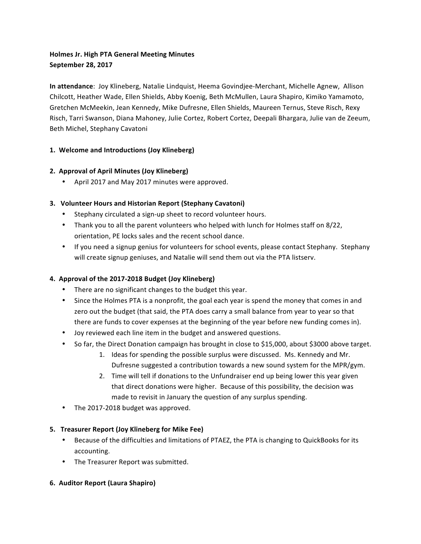# **Holmes Jr. High PTA General Meeting Minutes September 28, 2017**

**In attendance**: Joy Klineberg, Natalie Lindquist, Heema Govindjee-Merchant, Michelle Agnew, Allison Chilcott, Heather Wade, Ellen Shields, Abby Koenig, Beth McMullen, Laura Shapiro, Kimiko Yamamoto, Gretchen McMeekin, Jean Kennedy, Mike Dufresne, Ellen Shields, Maureen Ternus, Steve Risch, Rexy Risch, Tarri Swanson, Diana Mahoney, Julie Cortez, Robert Cortez, Deepali Bhargara, Julie van de Zeeum, Beth Michel, Stephany Cavatoni

# **1. Welcome and Introductions (Joy Klineberg)**

# **2. Approval of April Minutes (Joy Klineberg)**

• April 2017 and May 2017 minutes were approved.

# **3. Volunteer Hours and Historian Report (Stephany Cavatoni)**

- Stephany circulated a sign-up sheet to record volunteer hours.
- Thank you to all the parent volunteers who helped with lunch for Holmes staff on 8/22, orientation, PE locks sales and the recent school dance.
- If you need a signup genius for volunteers for school events, please contact Stephany. Stephany will create signup geniuses, and Natalie will send them out via the PTA listserv.

# **4. Approval of the 2017-2018 Budget (Joy Klineberg)**

- There are no significant changes to the budget this year.
- Since the Holmes PTA is a nonprofit, the goal each year is spend the money that comes in and zero out the budget (that said, the PTA does carry a small balance from year to year so that there are funds to cover expenses at the beginning of the year before new funding comes in).
- Joy reviewed each line item in the budget and answered questions.
- So far, the Direct Donation campaign has brought in close to \$15,000, about \$3000 above target.
	- 1. Ideas for spending the possible surplus were discussed. Ms. Kennedy and Mr. Dufresne suggested a contribution towards a new sound system for the MPR/gym.
	- 2. Time will tell if donations to the Unfundraiser end up being lower this year given that direct donations were higher. Because of this possibility, the decision was made to revisit in January the question of any surplus spending.
- The 2017-2018 budget was approved.

### **5.** Treasurer Report (Joy Klineberg for Mike Fee)

- Because of the difficulties and limitations of PTAEZ, the PTA is changing to QuickBooks for its accounting.
- The Treasurer Report was submitted.

### **6. Auditor Report (Laura Shapiro)**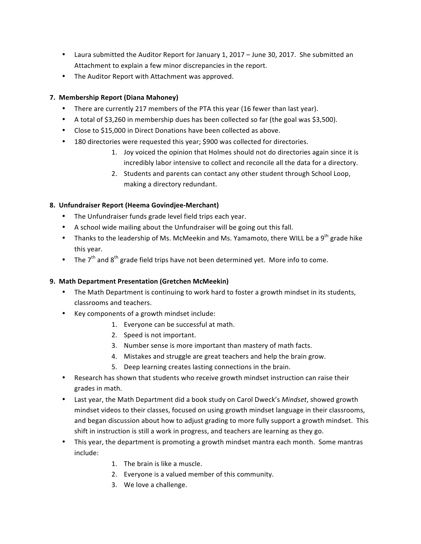- Laura submitted the Auditor Report for January 1, 2017 June 30, 2017. She submitted an Attachment to explain a few minor discrepancies in the report.
- The Auditor Report with Attachment was approved.

## **7. Membership Report (Diana Mahoney)**

- There are currently 217 members of the PTA this year (16 fewer than last year).
- A total of \$3,260 in membership dues has been collected so far (the goal was \$3,500).
- Close to \$15,000 in Direct Donations have been collected as above.
- 180 directories were requested this year; \$900 was collected for directories.
	- 1. Joy voiced the opinion that Holmes should not do directories again since it is incredibly labor intensive to collect and reconcile all the data for a directory.
	- 2. Students and parents can contact any other student through School Loop, making a directory redundant.

# **8. Unfundraiser Report (Heema Govindjee-Merchant)**

- The Unfundraiser funds grade level field trips each year.
- A school wide mailing about the Unfundraiser will be going out this fall.
- Thanks to the leadership of Ms. McMeekin and Ms. Yamamoto, there WILL be a 9<sup>th</sup> grade hike this year.
- The  $7<sup>th</sup>$  and  $8<sup>th</sup>$  grade field trips have not been determined yet. More info to come.

### **9. Math Department Presentation (Gretchen McMeekin)**

- The Math Department is continuing to work hard to foster a growth mindset in its students, classrooms and teachers.
- Key components of a growth mindset include:
	- 1. Everyone can be successful at math.
	- 2. Speed is not important.
	- 3. Number sense is more important than mastery of math facts.
	- 4. Mistakes and struggle are great teachers and help the brain grow.
	- 5. Deep learning creates lasting connections in the brain.
- Research has shown that students who receive growth mindset instruction can raise their grades in math.
- Last year, the Math Department did a book study on Carol Dweck's *Mindset*, showed growth mindset videos to their classes, focused on using growth mindset language in their classrooms, and began discussion about how to adjust grading to more fully support a growth mindset. This shift in instruction is still a work in progress, and teachers are learning as they go.
- This year, the department is promoting a growth mindset mantra each month. Some mantras include:
	- 1. The brain is like a muscle.
	- 2. Everyone is a valued member of this community.
	- 3. We love a challenge.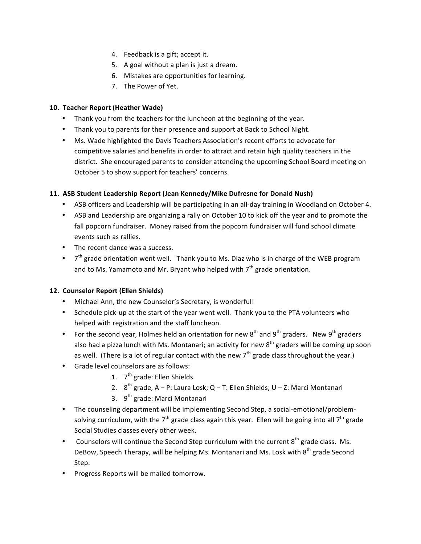- 4. Feedback is a gift; accept it.
- 5. A goal without a plan is just a dream.
- 6. Mistakes are opportunities for learning.
- 7. The Power of Yet.

#### **10. Teacher Report (Heather Wade)**

- Thank you from the teachers for the luncheon at the beginning of the year.
- Thank you to parents for their presence and support at Back to School Night.
- Ms. Wade highlighted the Davis Teachers Association's recent efforts to advocate for competitive salaries and benefits in order to attract and retain high quality teachers in the district. She encouraged parents to consider attending the upcoming School Board meeting on October 5 to show support for teachers' concerns.

#### **11. ASB Student Leadership Report (Jean Kennedy/Mike Dufresne for Donald Nush)**

- ASB officers and Leadership will be participating in an all-day training in Woodland on October 4.
- ASB and Leadership are organizing a rally on October 10 to kick off the year and to promote the fall popcorn fundraiser. Money raised from the popcorn fundraiser will fund school climate events such as rallies.
- $\bullet$  The recent dance was a success.
- $7<sup>th</sup>$  grade orientation went well. Thank you to Ms. Diaz who is in charge of the WEB program and to Ms. Yamamoto and Mr. Bryant who helped with  $7<sup>th</sup>$  grade orientation.

#### 12. Counselor Report (Ellen Shields)

- Michael Ann, the new Counselor's Secretary, is wonderful!
- Schedule pick-up at the start of the year went well. Thank you to the PTA volunteers who helped with registration and the staff luncheon.
- For the second year, Holmes held an orientation for new  $8^{th}$  and  $9^{th}$  graders. New  $9^{th}$  graders also had a pizza lunch with Ms. Montanari; an activity for new  $8<sup>th</sup>$  graders will be coming up soon as well. (There is a lot of regular contact with the new  $7<sup>th</sup>$  grade class throughout the year.)
- Grade level counselors are as follows:
	- 1.  $7<sup>th</sup>$  grade: Ellen Shields
	- 2.  $8^{th}$  grade, A P: Laura Losk; Q T: Ellen Shields; U Z: Marci Montanari
	- 3. 9<sup>th</sup> grade: Marci Montanari
- The counseling department will be implementing Second Step, a social-emotional/problemsolving curriculum, with the  $7<sup>th</sup>$  grade class again this year. Ellen will be going into all  $7<sup>th</sup>$  grade Social Studies classes every other week.
- Counselors will continue the Second Step curriculum with the current  $8<sup>th</sup>$  grade class. Ms. DeBow, Speech Therapy, will be helping Ms. Montanari and Ms. Losk with 8<sup>th</sup> grade Second Step.
- Progress Reports will be mailed tomorrow.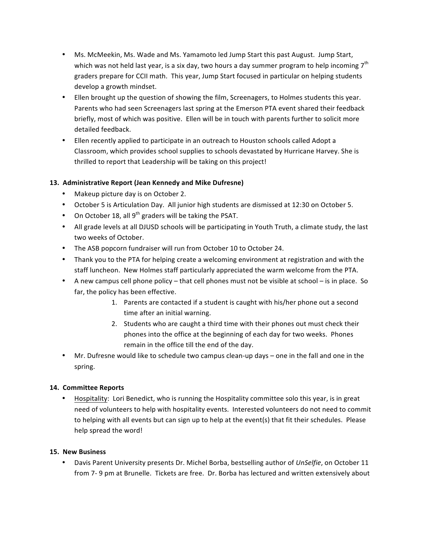- Ms. McMeekin, Ms. Wade and Ms. Yamamoto led Jump Start this past August. Jump Start, which was not held last year, is a six day, two hours a day summer program to help incoming  $7<sup>th</sup>$ graders prepare for CCII math. This year, Jump Start focused in particular on helping students develop a growth mindset.
- Ellen brought up the question of showing the film, Screenagers, to Holmes students this year. Parents who had seen Screenagers last spring at the Emerson PTA event shared their feedback briefly, most of which was positive. Ellen will be in touch with parents further to solicit more detailed feedback.
- Ellen recently applied to participate in an outreach to Houston schools called Adopt a Classroom, which provides school supplies to schools devastated by Hurricane Harvey. She is thrilled to report that Leadership will be taking on this project!

# **13. Administrative Report (Jean Kennedy and Mike Dufresne)**

- Makeup picture day is on October 2.
- October 5 is Articulation Day. All junior high students are dismissed at 12:30 on October 5.
- On October 18, all  $9^{th}$  graders will be taking the PSAT.
- All grade levels at all DJUSD schools will be participating in Youth Truth, a climate study, the last two weeks of October.
- The ASB popcorn fundraiser will run from October 10 to October 24.
- Thank you to the PTA for helping create a welcoming environment at registration and with the staff luncheon. New Holmes staff particularly appreciated the warm welcome from the PTA.
- A new campus cell phone policy that cell phones must not be visible at school is in place. So far, the policy has been effective.
	- 1. Parents are contacted if a student is caught with his/her phone out a second time after an initial warning.
	- 2. Students who are caught a third time with their phones out must check their phones into the office at the beginning of each day for two weeks. Phones remain in the office till the end of the day.
- Mr. Dufresne would like to schedule two campus clean-up days one in the fall and one in the spring.

# **14. Committee Reports**

Hospitality: Lori Benedict, who is running the Hospitality committee solo this year, is in great need of volunteers to help with hospitality events. Interested volunteers do not need to commit to helping with all events but can sign up to help at the event(s) that fit their schedules. Please help spread the word!

### **15. New Business**

Davis Parent University presents Dr. Michel Borba, bestselling author of UnSelfie, on October 11 from 7- 9 pm at Brunelle. Tickets are free. Dr. Borba has lectured and written extensively about